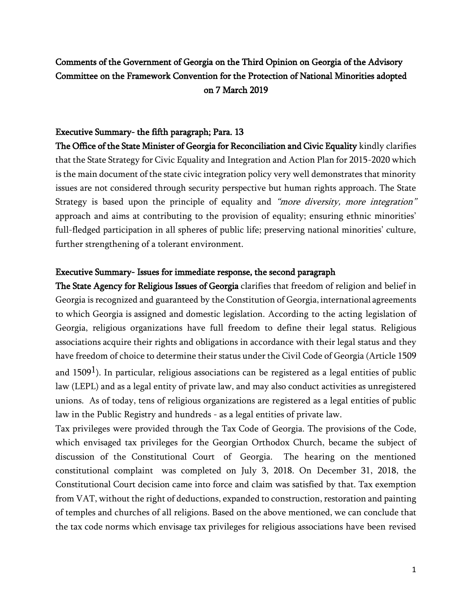# Comments of the Government of Georgia on the Third Opinion on Georgia of the Advisory Committee on the Framework Convention for the Protection of National Minorities adopted on 7 March 2019

## Executive Summary- the fifth paragraph; Para. 13

The Office of the State Minister of Georgia for Reconciliation and Civic Equality kindly clarifies that the State Strategy for Civic Equality and Integration and Action Plan for 2015-2020 which is the main document of the state civic integration policy very well demonstrates that minority issues are not considered through security perspective but human rights approach. The State Strategy is based upon the principle of equality and "more diversity, more integration" approach and aims at contributing to the provision of equality; ensuring ethnic minorities' full-fledged participation in all spheres of public life; preserving national minorities' culture, further strengthening of a tolerant environment.

## Executive Summary- Issues for immediate response, the second paragraph

The State Agency for Religious Issues of Georgia clarifies that freedom of religion and belief in Georgia is recognized and guaranteed by the Constitution of Georgia, international agreements to which Georgia is assigned and domestic legislation. According to the acting legislation of Georgia, religious organizations have full freedom to define their legal status. Religious associations acquire their rights and obligations in accordance with their legal status and they have freedom of choice to determine their status under the Civil Code of Georgia (Article 1509

and 1509<sup>1</sup>). In particular, religious associations can be registered as a legal entities of public law (LEPL) and as a legal entity of private law, and may also conduct activities as unregistered unions. As of today, tens of religious organizations are registered as a legal entities of public law in the Public Registry and hundreds - as a legal entities of private law.

Tax privileges were provided through the Tax Code of Georgia. The provisions of the Code, which envisaged tax privileges for the Georgian Orthodox Church, became the subject of discussion of the Constitutional Court of Georgia. The hearing on the mentioned constitutional complaint was completed on July 3, 2018. On December 31, 2018, the Constitutional Court decision came into force and claim was satisfied by that. Tax exemption from VAT, without the right of deductions, expanded to construction, restoration and painting of temples and churches of all religions. Based on the above mentioned, we can conclude that the tax code norms which envisage tax privileges for religious associations have been revised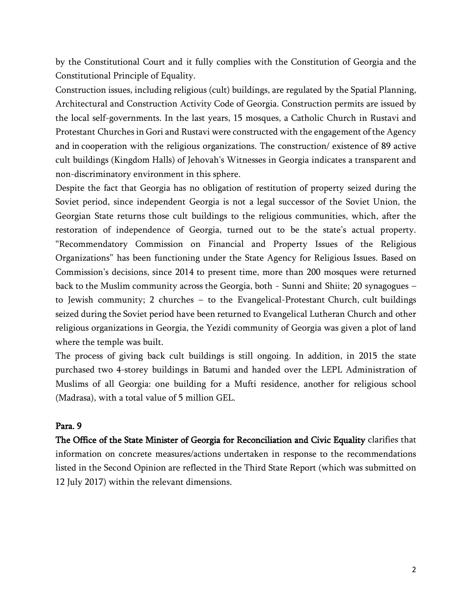by the Constitutional Court and it fully complies with the Constitution of Georgia and the Constitutional Principle of Equality.

Construction issues, including religious (cult) buildings, are regulated by the Spatial Planning, Architectural and Construction Activity Code of Georgia. Construction permits are issued by the local self-governments. In the last years, 15 mosques, a Catholic Church in Rustavi and Protestant Churches in Gori and Rustavi were constructed with the engagement of the Agency and in cooperation with the religious organizations. The construction/ existence of 89 active cult buildings (Kingdom Halls) of Jehovah's Witnesses in Georgia indicates a transparent and non-discriminatory environment in this sphere.

Despite the fact that Georgia has no obligation of restitution of property seized during the Soviet period, since independent Georgia is not a legal successor of the Soviet Union, the Georgian State returns those cult buildings to the religious communities, which, after the restoration of independence of Georgia, turned out to be the state's actual property. "Recommendatory Commission on Financial and Property Issues of the Religious Organizations" has been functioning under the State Agency for Religious Issues. Based on Commission's decisions, since 2014 to present time, more than 200 mosques were returned back to the Muslim community across the Georgia, both - Sunni and Shiite; 20 synagogues – to Jewish community; 2 churches – to the Evangelical-Protestant Church, cult buildings seized during the Soviet period have been returned to Evangelical Lutheran Church and other religious organizations in Georgia, the Yezidi community of Georgia was given a plot of land where the temple was built.

The process of giving back cult buildings is still ongoing. In addition, in 2015 the state purchased two 4-storey buildings in Batumi and handed over the LEPL Administration of Muslims of all Georgia: one building for a Mufti residence, another for religious school (Madrasa), with a total value of 5 million GEL.

## Para. 9

The Office of the State Minister of Georgia for Reconciliation and Civic Equality clarifies that information on concrete measures/actions undertaken in response to the recommendations listed in the Second Opinion are reflected in the Third State Report (which was submitted on 12 July 2017) within the relevant dimensions.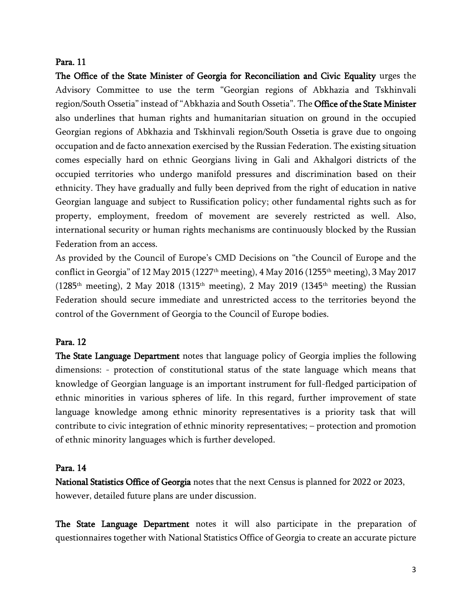## Para. 11

The Office of the State Minister of Georgia for Reconciliation and Civic Equality urges the Advisory Committee to use the term "Georgian regions of Abkhazia and Tskhinvali region/South Ossetia" instead of "Abkhazia and South Ossetia". The Office of the State Minister also underlines that human rights and humanitarian situation on ground in the occupied Georgian regions of Abkhazia and Tskhinvali region/South Ossetia is grave due to ongoing occupation and de facto annexation exercised by the Russian Federation. The existing situation comes especially hard on ethnic Georgians living in Gali and Akhalgori districts of the occupied territories who undergo manifold pressures and discrimination based on their ethnicity. They have gradually and fully been deprived from the right of education in native Georgian language and subject to Russification policy; other fundamental rights such as for property, employment, freedom of movement are severely restricted as well. Also, international security or human rights mechanisms are continuously blocked by the Russian Federation from an access.

As provided by the Council of Europe's CMD Decisions on "the Council of Europe and the conflict in Georgia" of 12 May 2015 (1227<sup>th</sup> meeting), 4 May 2016 (1255<sup>th</sup> meeting), 3 May 2017 (1285<sup>th</sup> meeting), 2 May 2018 (1315<sup>th</sup> meeting), 2 May 2019 (1345<sup>th</sup> meeting) the Russian Federation should secure immediate and unrestricted access to the territories beyond the control of the Government of Georgia to the Council of Europe bodies.

# Para. 12

The State Language Department notes that language policy of Georgia implies the following dimensions: - protection of constitutional status of the state language which means that knowledge of Georgian language is an important instrument for full-fledged participation of ethnic minorities in various spheres of life. In this regard, further improvement of state language knowledge among ethnic minority representatives is a priority task that will contribute to civic integration of ethnic minority representatives; – protection and promotion of ethnic minority languages which is further developed.

## Para. 14

National Statistics Office of Georgia notes that the next Census is planned for 2022 or 2023, however, detailed future plans are under discussion.

The State Language Department notes it will also participate in the preparation of questionnaires together with National Statistics Office of Georgia to create an accurate picture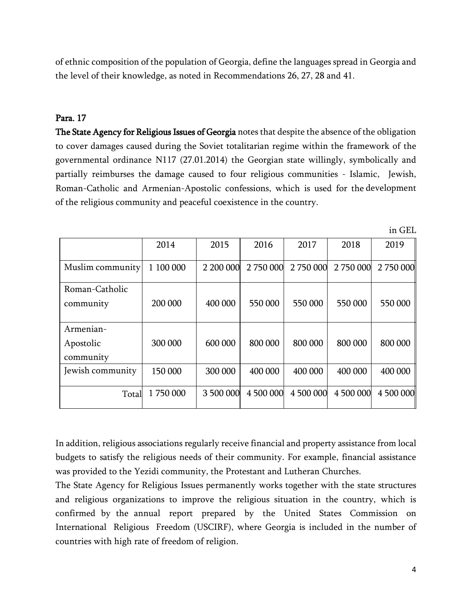of ethnic composition of the population of Georgia, define the languages spread in Georgia and the level of their knowledge, as noted in Recommendations 26, 27, 28 and 41.

## Para. 17

The State Agency for Religious Issues of Georgia notes that despite the absence of the obligation to cover damages caused during the Soviet totalitarian regime within the framework of the governmental ordinance N117 (27.01.2014) the Georgian state willingly, symbolically and partially reimburses the damage caused to four religious communities - Islamic, Jewish, Roman-Catholic and Armenian-Apostolic confessions, which is used for the development of the religious community and peaceful coexistence in the country.

|                                     | 2014      | 2015      | 2016      | 2017      | 2018      | 2019      |
|-------------------------------------|-----------|-----------|-----------|-----------|-----------|-----------|
| Muslim community                    | 1 100 000 | 2 200 000 | 2 750 000 | 2 750 000 | 2 750 000 | 2 750 000 |
| Roman-Catholic<br>community         | 200 000   | 400 000   | 550 000   | 550 000   | 550 000   | 550 000   |
| Armenian-<br>Apostolic<br>community | 300 000   | 600 000   | 800 000   | 800 000   | 800 000   | 800 000   |
| Jewish community                    | 150 000   | 300 000   | 400 000   | 400 000   | 400 000   | 400 000   |
| Total                               | 1750000   | 3 500 000 | 4 500 000 | 4 500 000 | 4 500 000 | 4 500 000 |

In addition, religious associations regularly receive financial and property assistance from local budgets to satisfy the religious needs of their community. For example, financial assistance was provided to the Yezidi community, the Protestant and Lutheran Churches.

The State Agency for Religious Issues permanently works together with the state structures and religious organizations to improve the religious situation in the country, which is confirmed by the annual report prepared by the United States Commission on International Religious Freedom (USCIRF), where Georgia is included in the number of countries with high rate of freedom of religion.

4

in GEL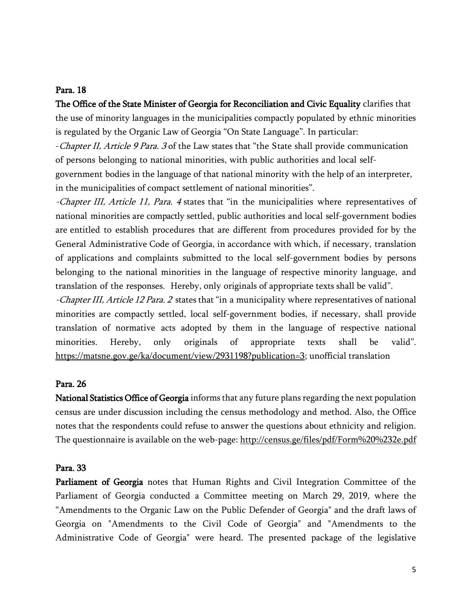## Para. 18

The Office of the State Minister of Georgia for Reconciliation and Civic Equality clarifies that the use of minority languages in the municipalities compactly populated by ethnic minorities is regulated by the Organic Law of Georgia "On State Language". In particular:

-Chapter II, Article 9 Para. 3 of the Law states that "the State shall provide communication of persons belonging to national minorities, with public authorities and local self-

government bodies in the language of that national minority with the help of an interpreter, in the municipalities of compact settlement of national minorities".

-Chapter III, Article 11, Para. 4 states that "in the municipalities where representatives of national minorities are compactly settled, public authorities and local self-government bodies are entitled to establish procedures that are different from procedures provided for by the General Administrative Code of Georgia, in accordance with which, if necessary, translation of applications and complaints submitted to the local self-government bodies by persons belonging to the national minorities in the language of respective minority language, and translation of the responses. Hereby, only originals of appropriate texts shall be valid".

-Chapter III, Article 12 Para. 2 states that "in a municipality where representatives of national minorities are compactly settled, local self-government bodies, if necessary, shall provide translation of normative acts adopted by them in the language of respective national minorities. Hereby, only originals of appropriate texts shall be valid". [https://matsne.gov.ge/ka/document/view/2931198?publication=3;](https://matsne.gov.ge/ka/document/view/2931198?publication=3) unofficial translation

#### Para. 26

National Statistics Office of Georgia informs that any future plans regarding the next population census are under discussion including the census methodology and method. Also, the Office notes that the respondents could refuse to answer the questions about ethnicity and religion. The questionnaire is available on the web-page: http://census.ge/files/pdf/Form%20%232e.pdf

#### Para. 33

Parliament of Georgia notes that Human Rights and Civil Integration Committee of the Parliament of Georgia conducted a Committee meeting on March 29, 2019, where the "Amendments to the Organic Law on the Public Defender of Georgia" and the draft laws of Georgia on "Amendments to the Civil Code of Georgia" and "Amendments to the Administrative Code of Georgia" were heard. The presented package of the legislative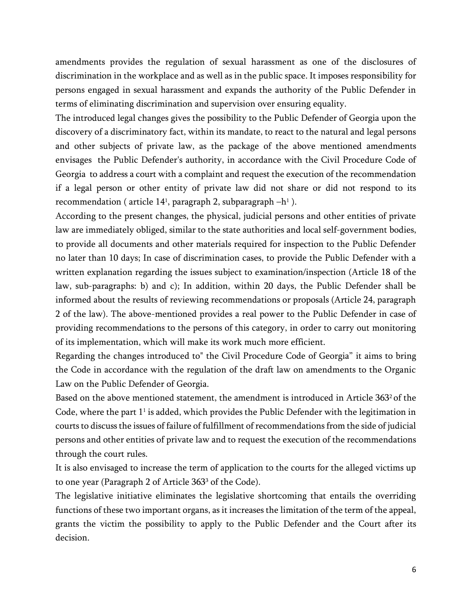amendments provides the regulation of sexual harassment as one of the disclosures of discrimination in the workplace and as well as in the public space. It imposes responsibility for persons engaged in sexual harassment and expands the authority of the Public Defender in terms of eliminating discrimination and supervision over ensuring equality.

The introduced legal changes gives the possibility to the Public Defender of Georgia upon the discovery of a discriminatory fact, within its mandate, to react to the natural and legal persons and other subjects of private law, as the package of the above mentioned amendments envisages the Public Defender's authority, in accordance with the Civil Procedure Code of Georgia to address a court with a complaint and request the execution of the recommendation if a legal person or other entity of private law did not share or did not respond to its recommendation ( article 14<sup>1</sup> , paragraph 2, subparagraph –h 1 ).

According to the present changes, the physical, judicial persons and other entities of private law are immediately obliged, similar to the state authorities and local self-government bodies, to provide all documents and other materials required for inspection to the Public Defender no later than 10 days; In case of discrimination cases, to provide the Public Defender with a written explanation regarding the issues subject to examination/inspection (Article 18 of the law, sub-paragraphs: b) and c); In addition, within 20 days, the Public Defender shall be informed about the results of reviewing recommendations or proposals (Article 24, paragraph 2 of the law). The above-mentioned provides a real power to the Public Defender in case of providing recommendations to the persons of this category, in order to carry out monitoring of its implementation, which will make its work much more efficient.

Regarding the changes introduced to" the Civil Procedure Code of Georgia" it aims to bring the Code in accordance with the regulation of the draft law on amendments to the Organic Law on the Public Defender of Georgia.

Based on the above mentioned statement, the amendment is introduced in Article 3632 of the Code, where the part  $1^{\scriptscriptstyle{1}}$  is added, which provides the Public Defender with the legitimation in courts to discuss the issues of failure of fulfillment of recommendations from the side of judicial persons and other entities of private law and to request the execution of the recommendations through the court rules.

It is also envisaged to increase the term of application to the courts for the alleged victims up to one year (Paragraph 2 of Article 363<sup>3</sup> of the Code).

The legislative initiative eliminates the legislative shortcoming that entails the overriding functions of these two important organs, as it increases the limitation of the term of the appeal, grants the victim the possibility to apply to the Public Defender and the Court after its decision.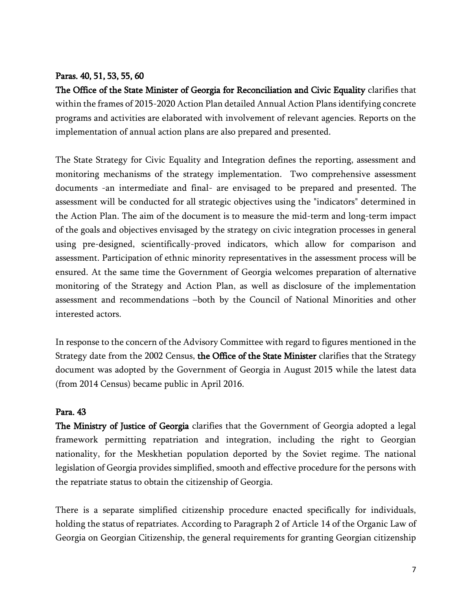# Paras. 40, 51, 53, 55, 60

The Office of the State Minister of Georgia for Reconciliation and Civic Equality clarifies that within the frames of 2015-2020 Action Plan detailed Annual Action Plans identifying concrete programs and activities are elaborated with involvement of relevant agencies. Reports on the implementation of annual action plans are also prepared and presented.

The State Strategy for Civic Equality and Integration defines the reporting, assessment and monitoring mechanisms of the strategy implementation. Two comprehensive assessment documents -an intermediate and final- are envisaged to be prepared and presented. The assessment will be conducted for all strategic objectives using the "indicators" determined in the Action Plan. The aim of the document is to measure the mid-term and long-term impact of the goals and objectives envisaged by the strategy on civic integration processes in general using pre-designed, scientifically-proved indicators, which allow for comparison and assessment. Participation of ethnic minority representatives in the assessment process will be ensured. At the same time the Government of Georgia welcomes preparation of alternative monitoring of the Strategy and Action Plan, as well as disclosure of the implementation assessment and recommendations –both by the Council of National Minorities and other interested actors.

In response to the concern of the Advisory Committee with regard to figures mentioned in the Strategy date from the 2002 Census, the Office of the State Minister clarifies that the Strategy document was adopted by the Government of Georgia in August 2015 while the latest data (from 2014 Census) became public in April 2016.

# Para. 43

The Ministry of Justice of Georgia clarifies that the Government of Georgia adopted a legal framework permitting repatriation and integration, including the right to Georgian nationality, for the Meskhetian population deported by the Soviet regime. The national legislation of Georgia provides simplified, smooth and effective procedure for the persons with the repatriate status to obtain the citizenship of Georgia.

There is a separate simplified citizenship procedure enacted specifically for individuals, holding the status of repatriates. According to Paragraph 2 of Article 14 of the Organic Law of Georgia on Georgian Citizenship, the general requirements for granting Georgian citizenship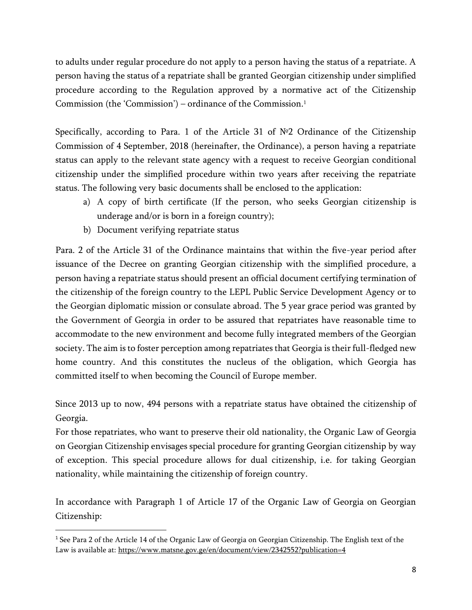to adults under regular procedure do not apply to a person having the status of a repatriate. A person having the status of a repatriate shall be granted Georgian citizenship under simplified procedure according to the Regulation approved by a normative act of the Citizenship Commission (the 'Commission') – ordinance of the Commission.<sup>1</sup>

Specifically, according to Para. 1 of the Article 31 of №2 Ordinance of the Citizenship Commission of 4 September, 2018 (hereinafter, the Ordinance), a person having a repatriate status can apply to the relevant state agency with a request to receive Georgian conditional citizenship under the simplified procedure within two years after receiving the repatriate status. The following very basic documents shall be enclosed to the application:

- a) A copy of birth certificate (If the person, who seeks Georgian citizenship is underage and/or is born in a foreign country);
- b) Document verifying repatriate status

 $\overline{a}$ 

Para. 2 of the Article 31 of the Ordinance maintains that within the five-year period after issuance of the Decree on granting Georgian citizenship with the simplified procedure, a person having a repatriate status should present an official document certifying termination of the citizenship of the foreign country to the LEPL Public Service Development Agency or to the Georgian diplomatic mission or consulate abroad. The 5 year grace period was granted by the Government of Georgia in order to be assured that repatriates have reasonable time to accommodate to the new environment and become fully integrated members of the Georgian society. The aim is to foster perception among repatriates that Georgia is their full-fledged new home country. And this constitutes the nucleus of the obligation, which Georgia has committed itself to when becoming the Council of Europe member.

Since 2013 up to now, 494 persons with a repatriate status have obtained the citizenship of Georgia.

For those repatriates, who want to preserve their old nationality, the Organic Law of Georgia on Georgian Citizenship envisages special procedure for granting Georgian citizenship by way of exception. This special procedure allows for dual citizenship, i.e. for taking Georgian nationality, while maintaining the citizenship of foreign country.

In accordance with Paragraph 1 of Article 17 of the Organic Law of Georgia on Georgian Citizenship:

<sup>1</sup> See Para 2 of the Article 14 of the Organic Law of Georgia on Georgian Citizenship. The English text of the Law is available at:<https://www.matsne.gov.ge/en/document/view/2342552?publication=4>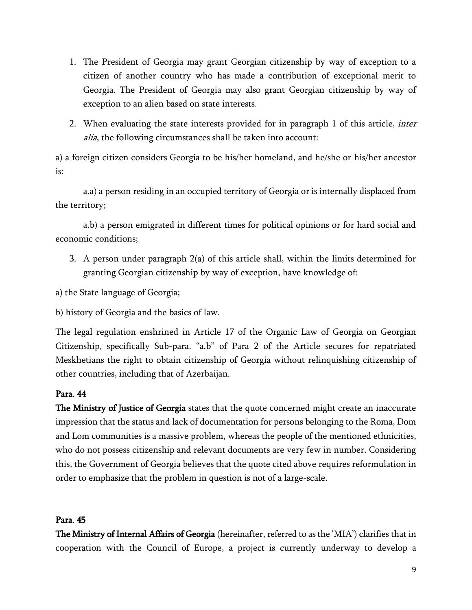- 1. The President of Georgia may grant Georgian citizenship by way of exception to a citizen of another country who has made a contribution of exceptional merit to Georgia. The President of Georgia may also grant Georgian citizenship by way of exception to an alien based on state interests.
- 2. When evaluating the state interests provided for in paragraph 1 of this article, *inter* alia, the following circumstances shall be taken into account:

a) a foreign citizen considers Georgia to be his/her homeland, and he/she or his/her ancestor is:

a.a) a person residing in an occupied territory of Georgia or is internally displaced from the territory;

a.b) a person emigrated in different times for political opinions or for hard social and economic conditions;

3. A person under paragraph 2(a) of this article shall, within the limits determined for granting Georgian citizenship by way of exception, have knowledge of:

a) the State language of Georgia;

b) history of Georgia and the basics of law.

The legal regulation enshrined in Article 17 of the Organic Law of Georgia on Georgian Citizenship, specifically Sub-para. "a.b" of Para 2 of the Article secures for repatriated Meskhetians the right to obtain citizenship of Georgia without relinquishing citizenship of other countries, including that of Azerbaijan.

# Para. 44

The Ministry of Justice of Georgia states that the quote concerned might create an inaccurate impression that the status and lack of documentation for persons belonging to the Roma, Dom and Lom communities is a massive problem, whereas the people of the mentioned ethnicities, who do not possess citizenship and relevant documents are very few in number. Considering this, the Government of Georgia believes that the quote cited above requires reformulation in order to emphasize that the problem in question is not of a large-scale.

# Para. 45

The Ministry of Internal Affairs of Georgia (hereinafter, referred to as the 'MIA') clarifies that in cooperation with the Council of Europe, a project is currently underway to develop a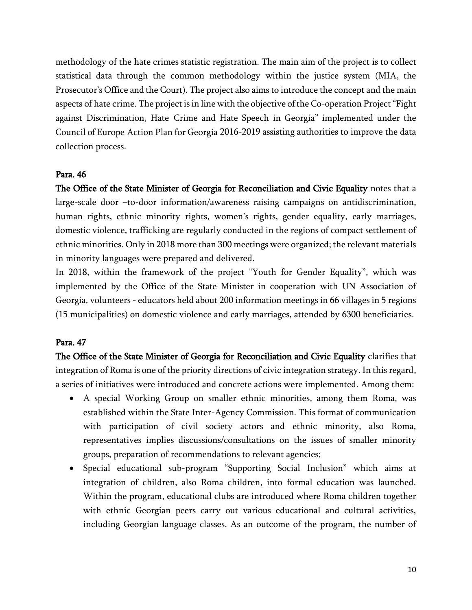methodology of the hate crimes statistic registration. The main aim of the project is to collect statistical data through the common methodology within the justice system (MIA, the Prosecutor's Office and the Court). The project also aims to introduce the concept and the main aspects of hate crime. The project isin line with the objective of the Co-operation Project"[Fight](https://www.coe.int/en/web/tbilisi/fighting-discrimination-hate-crime-and-hate-speech-in-georgia) against [Discrimination,](https://www.coe.int/en/web/tbilisi/fighting-discrimination-hate-crime-and-hate-speech-in-georgia) Hate Crime and Hate Speech in [Georgia](https://www.coe.int/en/web/tbilisi/fighting-discrimination-hate-crime-and-hate-speech-in-georgia)" implemented under the Council of Europe [Action](file:///C:/Users/ettema/AppData/Local/Microsoft/Windows/Temporary%20Internet%20Files/Content.Outlook/NVSL0ZZN/link%20to%20the%20Action%20PLan) Plan for Georgia [2016-2019](file:///C:/Users/ettema/AppData/Local/Microsoft/Windows/Temporary%20Internet%20Files/Content.Outlook/NVSL0ZZN/link%20to%20the%20Action%20PLan) assisting authorities to improve the data collection process.

#### Para. 46

The Office of the State Minister of Georgia for Reconciliation and Civic Equality notes that a large-scale door –to-door information/awareness raising campaigns on antidiscrimination, human rights, ethnic minority rights, women's rights, gender equality, early marriages, domestic violence, trafficking are regularly conducted in the regions of compact settlement of ethnic minorities. Only in 2018 more than 300 meetings were organized; the relevant materials in minority languages were prepared and delivered.

In 2018, within the framework of the project "Youth for Gender Equality", which was implemented by the Office of the State Minister in cooperation with UN Association of Georgia, volunteers - educators held about 200 information meetings in 66 villages in 5 regions (15 municipalities) on domestic violence and early marriages, attended by 6300 beneficiaries.

#### Para. 47

The Office of the State Minister of Georgia for Reconciliation and Civic Equality clarifies that integration of Roma is one of the priority directions of civic integration strategy. In this regard, a series of initiatives were introduced and concrete actions were implemented. Among them:

- A special Working Group on smaller ethnic minorities, among them Roma, was established within the State Inter-Agency Commission. This format of communication with participation of civil society actors and ethnic minority, also Roma, representatives implies discussions/consultations on the issues of smaller minority groups, preparation of recommendations to relevant agencies;
- Special educational sub-program "Supporting Social Inclusion" which aims at integration of children, also Roma children, into formal education was launched. Within the program, educational clubs are introduced where Roma children together with ethnic Georgian peers carry out various educational and cultural activities, including Georgian language classes. As an outcome of the program, the number of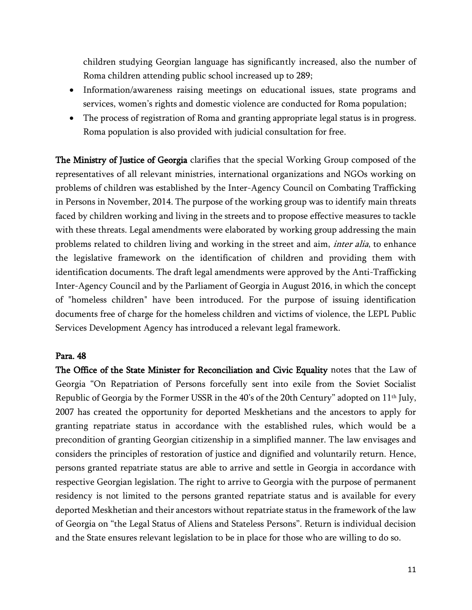children studying Georgian language has significantly increased, also the number of Roma children attending public school increased up to 289;

- Information/awareness raising meetings on educational issues, state programs and services, women's rights and domestic violence are conducted for Roma population;
- The process of registration of Roma and granting appropriate legal status is in progress. Roma population is also provided with judicial consultation for free.

The Ministry of Justice of Georgia clarifies that the special Working Group composed of the representatives of all relevant ministries, international organizations and NGOs working on problems of children was established by the Inter-Agency Council on Combating Trafficking in Persons in November, 2014. The purpose of the working group was to identify main threats faced by children working and living in the streets and to propose effective measures to tackle with these threats. Legal amendments were elaborated by working group addressing the main problems related to children living and working in the street and aim, *inter alia*, to enhance the legislative framework on the identification of children and providing them with identification documents. The draft legal amendments were approved by the Anti-Trafficking Inter-Agency Council and by the Parliament of Georgia in August 2016, in which the concept of "homeless children" have been introduced. For the purpose of issuing identification documents free of charge for the homeless children and victims of violence, the LEPL Public Services Development Agency has introduced a relevant legal framework.

## Para. 48

The Office of the State Minister for Reconciliation and Civic Equality notes that the Law of Georgia "On Repatriation of Persons forcefully sent into exile from the Soviet Socialist Republic of Georgia by the Former USSR in the 40's of the 20th Century" adopted on 11<sup>th</sup> July, 2007 has created the opportunity for deported Meskhetians and the ancestors to apply for granting repatriate status in accordance with the established rules, which would be a precondition of granting Georgian citizenship in a simplified manner. The law envisages and considers the principles of restoration of justice and dignified and voluntarily return. Hence, persons granted repatriate status are able to arrive and settle in Georgia in accordance with respective Georgian legislation. The right to arrive to Georgia with the purpose of permanent residency is not limited to the persons granted repatriate status and is available for every deported Meskhetian and their ancestors without repatriate status in the framework of the law of Georgia on "the Legal Status of Aliens and Stateless Persons". Return is individual decision and the State ensures relevant legislation to be in place for those who are willing to do so.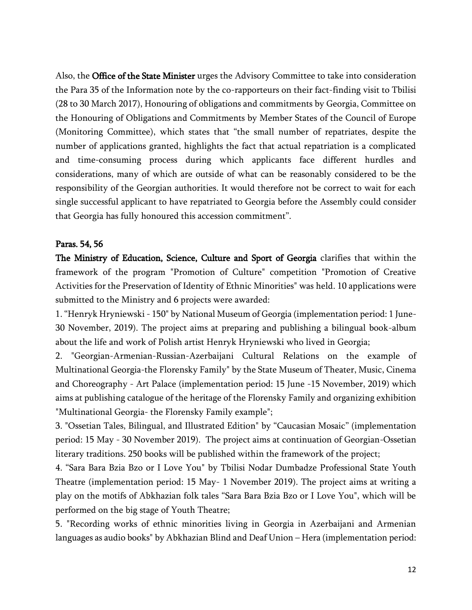Also, the Office of the State Minister urges the Advisory Committee to take into consideration the Para 35 of the Information note by the co-rapporteurs on their fact-finding visit to Tbilisi (28 to 30 March 2017), Honouring of obligations and commitments by Georgia, Committee on the Honouring of Obligations and Commitments by Member States of the Council of Europe (Monitoring Committee), which states that "the small number of repatriates, despite the number of applications granted, highlights the fact that actual repatriation is a complicated and time-consuming process during which applicants face different hurdles and considerations, many of which are outside of what can be reasonably considered to be the responsibility of the Georgian authorities. It would therefore not be correct to wait for each single successful applicant to have repatriated to Georgia before the Assembly could consider that Georgia has fully honoured this accession commitment".

# Paras. 54, 56

The Ministry of Education, Science, Culture and Sport of Georgia clarifies that within the framework of the program "Promotion of Culture" competition "Promotion of Creative Activities for the Preservation of Identity of Ethnic Minorities" was held. 10 applications were submitted to the Ministry and 6 projects were awarded:

1. "Henryk Hryniewski - 150" by National Museum of Georgia (implementation period: 1 June-30 November, 2019). The project aims at preparing and publishing a bilingual book-album about the life and work of Polish artist Henryk Hryniewski who lived in Georgia;

2. "Georgian-Armenian-Russian-Azerbaijani Cultural Relations on the example of Multinational Georgia-the Florensky Family" by the State Museum of Theater, Music, Cinema and Choreography - Art Palace (implementation period: 15 June -15 November, 2019) which aims at publishing catalogue of the heritage of the Florensky Family and organizing exhibition "Multinational Georgia- the Florensky Family example";

3. "Ossetian Tales, Bilingual, and Illustrated Edition" by "Caucasian Mosaic" (implementation period: 15 May - 30 November 2019). The project aims at continuation of Georgian-Ossetian literary traditions. 250 books will be published within the framework of the project;

4. "Sara Bara Bzia Bzo or I Love You" by Tbilisi Nodar Dumbadze Professional State Youth Theatre (implementation period: 15 May- 1 November 2019). The project aims at writing a play on the motifs of Abkhazian folk tales "Sara Bara Bzia Bzo or I Love You", which will be performed on the big stage of Youth Theatre;

5. "Recording works of ethnic minorities living in Georgia in Azerbaijani and Armenian languages as audio books" by Abkhazian Blind and Deaf Union – Hera (implementation period: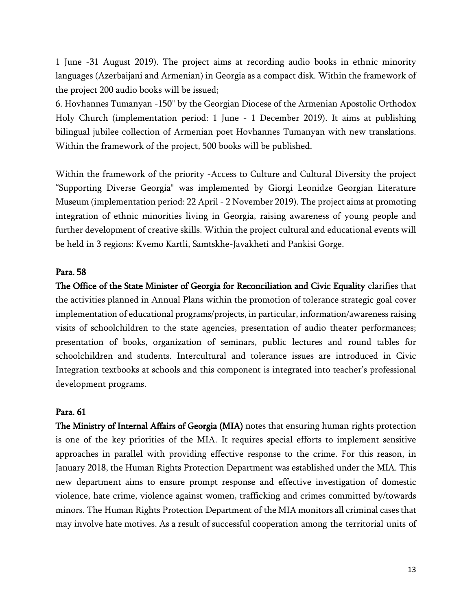1 June -31 August 2019). The project aims at recording audio books in ethnic minority languages (Azerbaijani and Armenian) in Georgia as a compact disk. Within the framework of the project 200 audio books will be issued;

6. Hovhannes Tumanyan -150" by the Georgian Diocese of the Armenian Apostolic Orthodox Holy Church (implementation period: 1 June - 1 December 2019). It aims at publishing bilingual jubilee collection of Armenian poet Hovhannes Tumanyan with new translations. Within the framework of the project, 500 books will be published.

Within the framework of the priority -Access to Culture and Cultural Diversity the project "Supporting Diverse Georgia" was implemented by Giorgi Leonidze Georgian Literature Museum (implementation period: 22 April - 2 November 2019). The project aims at promoting integration of ethnic minorities living in Georgia, raising awareness of young people and further development of creative skills. Within the project cultural and educational events will be held in 3 regions: Kvemo Kartli, Samtskhe-Javakheti and Pankisi Gorge.

## Para. 58

The Office of the State Minister of Georgia for Reconciliation and Civic Equality clarifies that the activities planned in Annual Plans within the promotion of tolerance strategic goal cover implementation of educational programs/projects, in particular, information/awareness raising visits of schoolchildren to the state agencies, presentation of audio theater performances; presentation of books, organization of seminars, public lectures and round tables for schoolchildren and students. Intercultural and tolerance issues are introduced in Civic Integration textbooks at schools and this component is integrated into teacher's professional development programs.

## Para. 61

The Ministry of Internal Affairs of Georgia (MIA) notes that ensuring human rights protection is one of the key priorities of the MIA. It requires special efforts to implement sensitive approaches in parallel with providing effective response to the crime. For this reason, in January 2018, the Human Rights Protection Department was established under the MIA. This new department aims to ensure prompt response and effective investigation of domestic violence, hate crime, violence against women, trafficking and crimes committed by/towards minors. The Human Rights Protection Department of the MIA monitors all criminal cases that may involve hate motives. As a result of successful cooperation among the territorial units of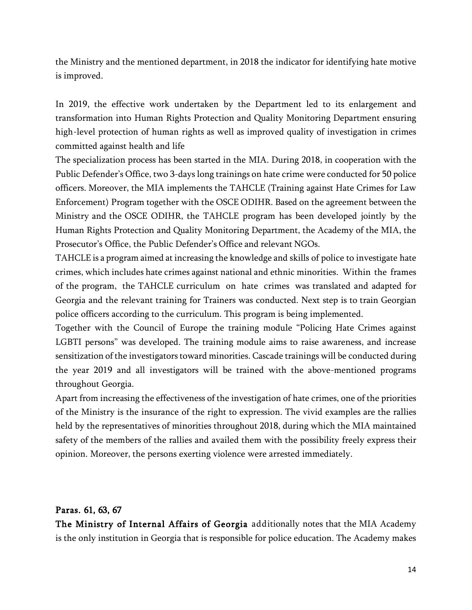the Ministry and the mentioned department, in 2018 the indicator for identifying hate motive is improved.

In 2019, the effective work undertaken by the Department led to its enlargement and transformation into Human Rights Protection and Quality Monitoring Department ensuring high-level protection of human rights as well as improved quality of investigation in crimes committed against health and life

The specialization process has been started in the MIA. During 2018, in cooperation with the Public Defender's Office, two 3-days long trainings on hate crime were conducted for 50 police officers. Moreover, the MIA implements the TAHCLE (Training against Hate Crimes for Law Enforcement) Program together with the OSCE ODIHR. Based on the agreement between the Ministry and the OSCE ODIHR, the TAHCLE program has been developed jointly by the Human Rights Protection and Quality Monitoring Department, the Academy of the MIA, the Prosecutor's Office, the Public Defender's Office and relevant NGOs.

TAHCLE is a program aimed at increasing the knowledge and skills of police to investigate hate crimes, which includes hate crimes against national and ethnic minorities. Within the frames of the program, the TAHCLE curriculum on hate crimes was translated and adapted for Georgia and the relevant training for Trainers was conducted. Next step is to train Georgian police officers according to the curriculum. This program is being implemented.

Together with the Council of Europe the training module "Policing Hate Crimes against LGBTI persons" was developed. The training module aims to raise awareness, and increase sensitization of the investigators toward minorities. Cascade trainings will be conducted during the year 2019 and all investigators will be trained with the above-mentioned programs throughout Georgia.

Apart from increasing the effectiveness of the investigation of hate crimes, one of the priorities of the Ministry is the insurance of the right to expression. The vivid examples are the rallies held by the representatives of minorities throughout 2018, during which the MIA maintained safety of the members of the rallies and availed them with the possibility freely express their opinion. Moreover, the persons exerting violence were arrested immediately.

## Paras. 61, 63, 67

The Ministry of Internal Affairs of Georgia additionally notes that the MIA Academy is the only institution in Georgia that is responsible for police education. The Academy makes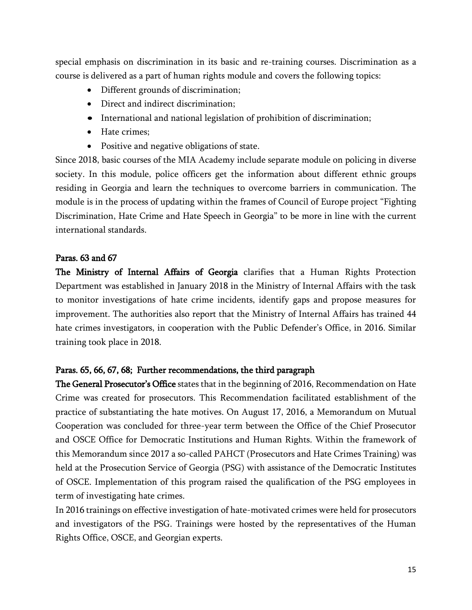special emphasis on discrimination in its basic and re-training courses. Discrimination as a course is delivered as a part of human rights module and covers the following topics:

- Different grounds of discrimination;
- Direct and indirect discrimination;
- International and national legislation of prohibition of discrimination;
- Hate crimes:
- Positive and negative obligations of state.

Since 2018, basic courses of the MIA Academy include separate module on policing in diverse society. In this module, police officers get the information about different ethnic groups residing in Georgia and learn the techniques to overcome barriers in communication. The module is in the process of updating within the frames of Council of Europe project "Fighting Discrimination, Hate Crime and Hate Speech in Georgia" to be more in line with the current international standards.

## Paras. 63 and 67

The Ministry of Internal Affairs of Georgia clarifies that a Human Rights Protection Department was established in January 2018 in the Ministry of Internal Affairs with the task to monitor investigations of hate crime incidents, identify gaps and propose measures for improvement. The authorities also report that the Ministry of Internal Affairs has trained 44 hate crimes investigators, in cooperation with the Public Defender's Office, in 2016. Similar training took place in 2018.

# Paras. 65, 66, 67, 68; Further recommendations, the third paragraph

The General Prosecutor's Office states that in the beginning of 2016, Recommendation on Hate Crime was created for prosecutors. This Recommendation facilitated establishment of the practice of substantiating the hate motives. On August 17, 2016, a Memorandum on Mutual Cooperation was concluded for three-year term between the Office of the Chief Prosecutor and OSCE Office for Democratic Institutions and Human Rights. Within the framework of this Memorandum since 2017 a so-called PAHCT (Prosecutors and Hate Crimes Training) was held at the Prosecution Service of Georgia (PSG) with assistance of the Democratic Institutes of OSCE. Implementation of this program raised the qualification of the PSG employees in term of investigating hate crimes.

In 2016 trainings on effective investigation of hate-motivated crimes were held for prosecutors and investigators of the PSG. Trainings were hosted by the representatives of the Human Rights Office, OSCE, and Georgian experts.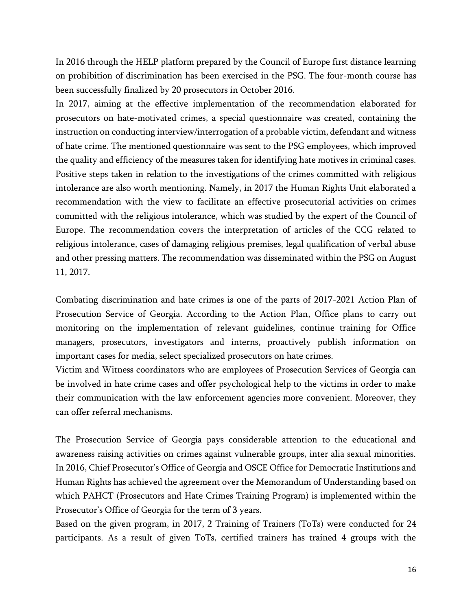In 2016 through the HELP platform prepared by the Council of Europe first distance learning on prohibition of discrimination has been exercised in the PSG. The four-month course has been successfully finalized by 20 prosecutors in October 2016.

In 2017, aiming at the effective implementation of the recommendation elaborated for prosecutors on hate-motivated crimes, a special questionnaire was created, containing the instruction on conducting interview/interrogation of a probable victim, defendant and witness of hate crime. The mentioned questionnaire was sent to the PSG employees, which improved the quality and efficiency of the measures taken for identifying hate motives in criminal cases. Positive steps taken in relation to the investigations of the crimes committed with religious intolerance are also worth mentioning. Namely, in 2017 the Human Rights Unit elaborated a recommendation with the view to facilitate an effective prosecutorial activities on crimes committed with the religious intolerance, which was studied by the expert of the Council of Europe. The recommendation covers the interpretation of articles of the CCG related to religious intolerance, cases of damaging religious premises, legal qualification of verbal abuse and other pressing matters. The recommendation was disseminated within the PSG on August 11, 2017.

Combating discrimination and hate crimes is one of the parts of 2017-2021 Action Plan of Prosecution Service of Georgia. According to the Action Plan, Office plans to carry out monitoring on the implementation of relevant guidelines, continue training for Office managers, prosecutors, investigators and interns, proactively publish information on important cases for media, select specialized prosecutors on hate crimes.

Victim and Witness coordinators who are employees of Prosecution Services of Georgia can be involved in hate crime cases and offer psychological help to the victims in order to make their communication with the law enforcement agencies more convenient. Moreover, they can offer referral mechanisms.

The Prosecution Service of Georgia pays considerable attention to the educational and awareness raising activities on crimes against vulnerable groups, inter alia sexual minorities. In 2016, Chief Prosecutor's Office of Georgia and OSCE Office for Democratic Institutions and Human Rights has achieved the agreement over the Memorandum of Understanding based on which PAHCT (Prosecutors and Hate Crimes Training Program) is implemented within the Prosecutor's Office of Georgia for the term of 3 years.

Based on the given program, in 2017, 2 Training of Trainers (ToTs) were conducted for 24 participants. As a result of given ToTs, certified trainers has trained 4 groups with the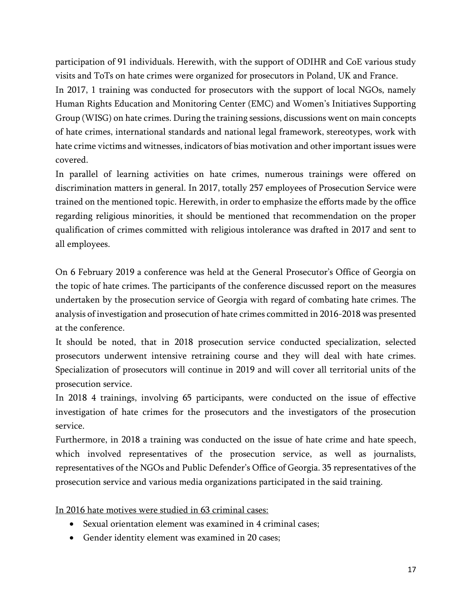participation of 91 individuals. Herewith, with the support of ODIHR and CoE various study visits and ToTs on hate crimes were organized for prosecutors in Poland, UK and France. In 2017, 1 training was conducted for prosecutors with the support of local NGOs, namely Human Rights Education and Monitoring Center (EMC) and Women's Initiatives Supporting Group (WISG) on hate crimes. During the training sessions, discussions went on main concepts of hate crimes, international standards and national legal framework, stereotypes, work with hate crime victims and witnesses, indicators of bias motivation and other important issues were covered.

In parallel of learning activities on hate crimes, numerous trainings were offered on discrimination matters in general. In 2017, totally 257 employees of Prosecution Service were trained on the mentioned topic. Herewith, in order to emphasize the efforts made by the office regarding religious minorities, it should be mentioned that recommendation on the proper qualification of crimes committed with religious intolerance was drafted in 2017 and sent to all employees.

On 6 February 2019 a conference was held at the General Prosecutor's Office of Georgia on the topic of hate crimes. The participants of the conference discussed report on the measures undertaken by the prosecution service of Georgia with regard of combating hate crimes. The analysis of investigation and prosecution of hate crimes committed in 2016-2018 was presented at the conference.

It should be noted, that in 2018 prosecution service conducted specialization, selected prosecutors underwent intensive retraining course and they will deal with hate crimes. Specialization of prosecutors will continue in 2019 and will cover all territorial units of the prosecution service.

In 2018 4 trainings, involving 65 participants, were conducted on the issue of effective investigation of hate crimes for the prosecutors and the investigators of the prosecution service.

Furthermore, in 2018 a training was conducted on the issue of hate crime and hate speech, which involved representatives of the prosecution service, as well as journalists, representatives of the NGOs and Public Defender's Office of Georgia. 35 representatives of the prosecution service and various media organizations participated in the said training.

In 2016 hate motives were studied in 63 criminal cases:

- Sexual orientation element was examined in 4 criminal cases;
- Gender identity element was examined in 20 cases;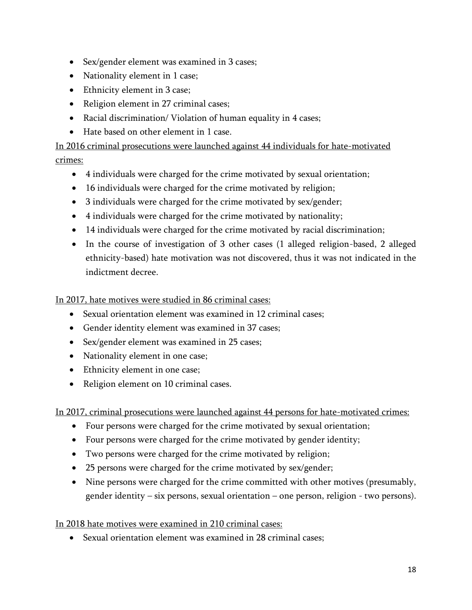- Sex/gender element was examined in 3 cases;
- Nationality element in 1 case;
- Ethnicity element in 3 case;
- Religion element in 27 criminal cases;
- Racial discrimination/ Violation of human equality in 4 cases;
- Hate based on other element in 1 case.

In 2016 criminal prosecutions were launched against 44 individuals for hate-motivated crimes:

- 4 individuals were charged for the crime motivated by sexual orientation;
- 16 individuals were charged for the crime motivated by religion;
- 3 individuals were charged for the crime motivated by sex/gender;
- 4 individuals were charged for the crime motivated by nationality;
- 14 individuals were charged for the crime motivated by racial discrimination;
- In the course of investigation of 3 other cases (1 alleged religion-based, 2 alleged ethnicity-based) hate motivation was not discovered, thus it was not indicated in the indictment decree.

In 2017, hate motives were studied in 86 criminal cases:

- Sexual orientation element was examined in 12 criminal cases;
- Gender identity element was examined in 37 cases;
- Sex/gender element was examined in 25 cases;
- Nationality element in one case;
- Ethnicity element in one case;
- Religion element on 10 criminal cases.

In 2017, criminal prosecutions were launched against 44 persons for hate-motivated crimes:

- Four persons were charged for the crime motivated by sexual orientation;
- Four persons were charged for the crime motivated by gender identity;
- Two persons were charged for the crime motivated by religion;
- 25 persons were charged for the crime motivated by sex/gender;
- Nine persons were charged for the crime committed with other motives (presumably, gender identity – six persons, sexual orientation – one person, religion - two persons).

# In 2018 hate motives were examined in 210 criminal cases:

Sexual orientation element was examined in 28 criminal cases;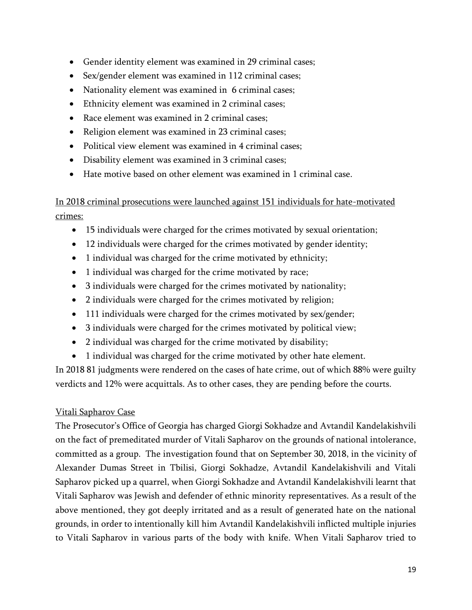- Gender identity element was examined in 29 criminal cases;
- Sex/gender element was examined in 112 criminal cases;
- Nationality element was examined in 6 criminal cases;
- Ethnicity element was examined in 2 criminal cases;
- Race element was examined in 2 criminal cases:
- Religion element was examined in 23 criminal cases;
- Political view element was examined in 4 criminal cases;
- Disability element was examined in 3 criminal cases;
- Hate motive based on other element was examined in 1 criminal case.

In 2018 criminal prosecutions were launched against 151 individuals for hate-motivated crimes:

- 15 individuals were charged for the crimes motivated by sexual orientation;
- 12 individuals were charged for the crimes motivated by gender identity;
- 1 individual was charged for the crime motivated by ethnicity;
- 1 individual was charged for the crime motivated by race;
- 3 individuals were charged for the crimes motivated by nationality;
- 2 individuals were charged for the crimes motivated by religion;
- 111 individuals were charged for the crimes motivated by sex/gender;
- 3 individuals were charged for the crimes motivated by political view;
- 2 individual was charged for the crime motivated by disability;
- 1 individual was charged for the crime motivated by other hate element.

In 2018 81 judgments were rendered on the cases of hate crime, out of which 88% were guilty verdicts and 12% were acquittals. As to other cases, they are pending before the courts.

# Vitali Sapharov Case

The Prosecutor's Office of Georgia has charged Giorgi Sokhadze and Avtandil Kandelakishvili on the fact of premeditated murder of Vitali Sapharov on the grounds of national intolerance, committed as a group. The investigation found that on September 30, 2018, in the vicinity of Alexander Dumas Street in Tbilisi, Giorgi Sokhadze, Avtandil Kandelakishvili and Vitali Sapharov picked up a quarrel, when Giorgi Sokhadze and Avtandil Kandelakishvili learnt that Vitali Sapharov was Jewish and defender of ethnic minority representatives. As a result of the above mentioned, they got deeply irritated and as a result of generated hate on the national grounds, in order to intentionally kill him Avtandil Kandelakishvili inflicted multiple injuries to Vitali Sapharov in various parts of the body with knife. When Vitali Sapharov tried to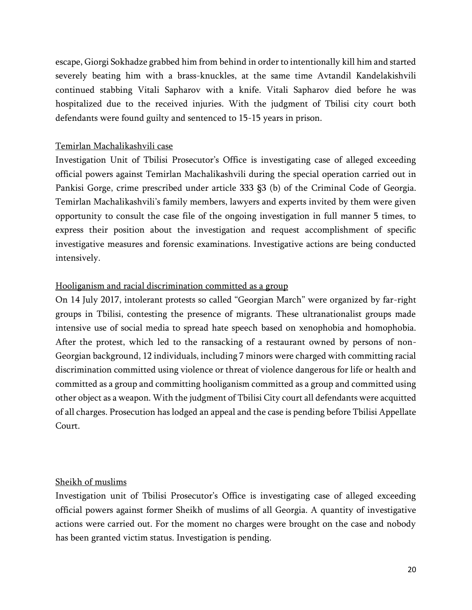escape, Giorgi Sokhadze grabbed him from behind in order to intentionally kill him and started severely beating him with a brass-knuckles, at the same time Avtandil Kandelakishvili continued stabbing Vitali Sapharov with a knife. Vitali Sapharov died before he was hospitalized due to the received injuries. With the judgment of Tbilisi city court both defendants were found guilty and sentenced to 15-15 years in prison.

## Temirlan Machalikashvili case

Investigation Unit of Tbilisi Prosecutor's Office is investigating case of alleged exceeding official powers against Temirlan Machalikashvili during the special operation carried out in Pankisi Gorge, crime prescribed under article 333 §3 (b) of the Criminal Code of Georgia. Temirlan Machalikashvili's family members, lawyers and experts invited by them were given opportunity to consult the case file of the ongoing investigation in full manner 5 times, to express their position about the investigation and request accomplishment of specific investigative measures and forensic examinations. Investigative actions are being conducted intensively.

#### Hooliganism and racial discrimination committed as a group

On 14 July 2017, intolerant protests so called "Georgian March" were organized by far-right groups in Tbilisi, contesting the presence of migrants. These ultranationalist groups made intensive use of social media to spread hate speech based on xenophobia and homophobia. After the protest, which led to the ransacking of a restaurant owned by persons of non-Georgian background, 12 individuals, including 7 minors were charged with committing racial discrimination committed using violence or threat of violence dangerous for life or health and committed as a group and committing hooliganism committed as a group and committed using other object as a weapon. With the judgment of Tbilisi City court all defendants were acquitted of all charges. Prosecution has lodged an appeal and the case is pending before Tbilisi Appellate Court.

#### Sheikh of muslims

Investigation unit of Tbilisi Prosecutor's Office is investigating case of alleged exceeding official powers against former Sheikh of muslims of all Georgia. A quantity of investigative actions were carried out. For the moment no charges were brought on the case and nobody has been granted victim status. Investigation is pending.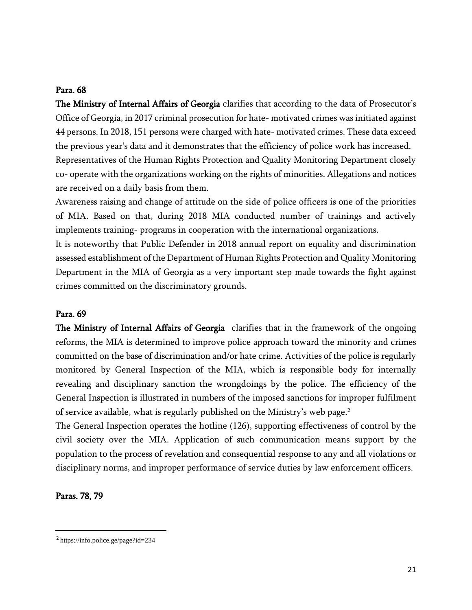#### Para. 68

The Ministry of Internal Affairs of Georgia clarifies that according to the data of Prosecutor's Office of Georgia, in 2017 criminal prosecution for hate- motivated crimes was initiated against 44 persons. In 2018, 151 persons were charged with hate- motivated crimes. These data exceed the previous year's data and it demonstrates that the efficiency of police work has increased. Representatives of the Human Rights Protection and Quality Monitoring Department closely co- operate with the organizations working on the rights of minorities. Allegations and notices are received on a daily basis from them.

Awareness raising and change of attitude on the side of police officers is one of the priorities of MIA. Based on that, during 2018 MIA conducted number of trainings and actively implements training- programs in cooperation with the international organizations.

It is noteworthy that Public Defender in 2018 annual report on equality and discrimination assessed establishment of the Department of Human Rights Protection and Quality Monitoring Department in the MIA of Georgia as a very important step made towards the fight against crimes committed on the discriminatory grounds.

#### Para. 69

The Ministry of Internal Affairs of Georgia clarifies that in the framework of the ongoing reforms, the MIA is determined to improve police approach toward the minority and crimes committed on the base of discrimination and/or hate crime. Activities of the police is regularly monitored by General Inspection of the MIA, which is responsible body for internally revealing and disciplinary sanction the wrongdoings by the police. The efficiency of the General Inspection is illustrated in numbers of the imposed sanctions for improper fulfilment of service available, what is regularly published on the Ministry's web page.<sup>2</sup>

The General Inspection operates the hotline (126), supporting effectiveness of control by the civil society over the MIA. Application of such communication means support by the population to the process of revelation and consequential response to any and all violations or disciplinary norms, and improper performance of service duties by law enforcement officers.

## Paras. 78, 79

 $\overline{\phantom{a}}$ 

<sup>&</sup>lt;sup>2</sup> <https://info.police.ge/page?id=234>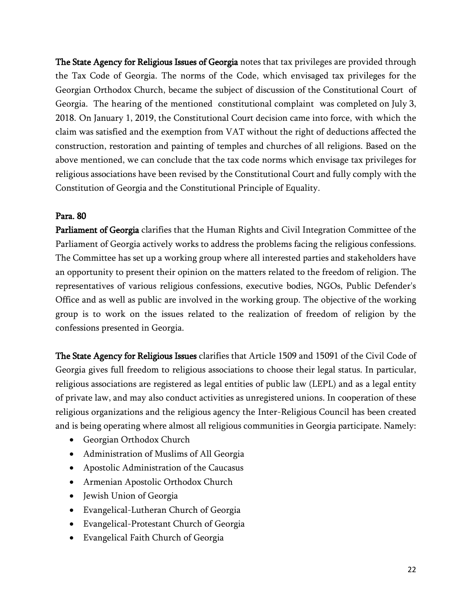The State Agency for Religious Issues of Georgia notes that tax privileges are provided through the Tax Code of Georgia. The norms of the Code, which envisaged tax privileges for the Georgian Orthodox Church, became the subject of discussion of the Constitutional Court of Georgia. The hearing of the mentioned constitutional complaint was completed on July 3, 2018. On January 1, 2019, the Constitutional Court decision came into force, with which the claim was satisfied and the exemption from VAT without the right of deductions affected the construction, restoration and painting of temples and churches of all religions. Based on the above mentioned, we can conclude that the tax code norms which envisage tax privileges for religious associations have been revised by the Constitutional Court and fully comply with the Constitution of Georgia and the Constitutional Principle of Equality.

# Para. 80

Parliament of Georgia clarifies that the Human Rights and Civil Integration Committee of the Parliament of Georgia actively works to address the problems facing the religious confessions. The Committee has set up a working group where all interested parties and stakeholders have an opportunity to present their opinion on the matters related to the freedom of religion. The representatives of various religious confessions, executive bodies, NGOs, Public Defender's Office and as well as public are involved in the working group. The objective of the working group is to work on the issues related to the realization of freedom of religion by the confessions presented in Georgia.

The State Agency for Religious Issues clarifies that Article 1509 and 15091 of the Civil Code of Georgia gives full freedom to religious associations to choose their legal status. In particular, religious associations are registered as legal entities of public law (LEPL) and as a legal entity of private law, and may also conduct activities as unregistered unions. In cooperation of these religious organizations and the religious agency the Inter-Religious Council has been created and is being operating where almost all religious communities in Georgia participate. Namely:

- Georgian Orthodox Church
- Administration of Muslims of All Georgia
- Apostolic Administration of the Caucasus
- Armenian Apostolic Orthodox Church
- Jewish Union of Georgia
- Evangelical-Lutheran Church of Georgia
- Evangelical-Protestant Church of Georgia
- Evangelical Faith Church of Georgia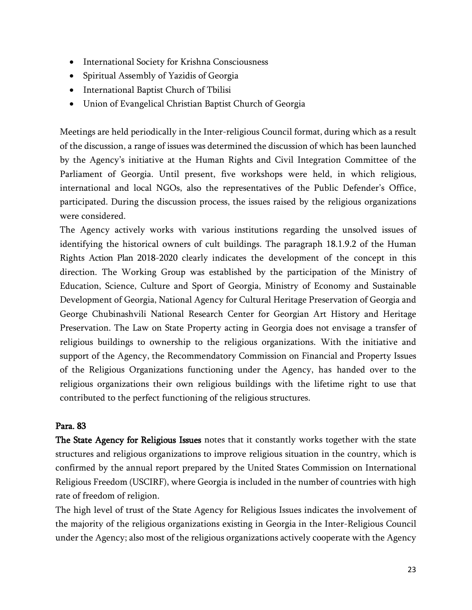- International Society for Krishna Consciousness
- Spiritual Assembly of Yazidis of Georgia
- International Baptist Church of Tbilisi
- Union of Evangelical Christian Baptist Church of Georgia

Meetings are held periodically in the Inter-religious Council format, during which as a result of the discussion, a range of issues was determined the discussion of which has been launched by the Agency's initiative at the Human Rights and Civil Integration Committee of the Parliament of Georgia. Until present, five workshops were held, in which religious, international and local NGOs, also the representatives of the Public Defender's Office, participated. During the discussion process, the issues raised by the religious organizations were considered.

The Agency actively works with various institutions regarding the unsolved issues of identifying the historical owners of cult buildings. The paragraph 18.1.9.2 of the Human Rights Action Plan 2018-2020 clearly indicates the development of the concept in this direction. The Working Group was established by the participation of the Ministry of Education, Science, Culture and Sport of Georgia, Ministry of Economy and Sustainable Development of Georgia, National Agency for Cultural Heritage Preservation of Georgia and George Chubinashvili National Research Center for Georgian Art History and Heritage Preservation. The Law on State Property acting in Georgia does not envisage a transfer of religious buildings to ownership to the religious organizations. With the initiative and support of the Agency, the Recommendatory Commission on Financial and Property Issues of the Religious Organizations functioning under the Agency, has handed over to the religious organizations their own religious buildings with the lifetime right to use that contributed to the perfect functioning of the religious structures.

# Para. 83

The State Agency for Religious Issues notes that it constantly works together with the state structures and religious organizations to improve religious situation in the country, which is confirmed by the annual report prepared by the United States Commission on International Religious Freedom (USCIRF), where Georgia is included in the number of countries with high rate of freedom of religion.

The high level of trust of the State Agency for Religious Issues indicates the involvement of the majority of the religious organizations existing in Georgia in the Inter-Religious Council under the Agency; also most of the religious organizations actively cooperate with the Agency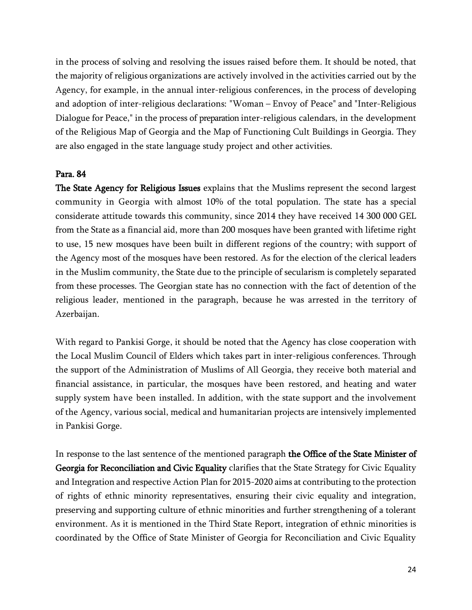in the process of solving and resolving the issues raised before them. It should be noted, that the majority of religious organizations are actively involved in the activities carried out by the Agency, for example, in the annual inter-religious conferences, in the process of developing and adoption of inter-religious declarations: "Woman – Envoy of Peace" and "Inter-Religious Dialogue for Peace," in the process of preparation inter-religious calendars, in the development of the Religious Map of Georgia and the Map of Functioning Cult Buildings in Georgia. They are also engaged in the state language study project and other activities.

## Para. 84

The State Agency for Religious Issues explains that the Muslims represent the second largest community in Georgia with almost 10% of the total population. The state has a special considerate attitude towards this community, since 2014 they have received 14 300 000 GEL from the State as a financial aid, more than 200 mosques have been granted with lifetime right to use, 15 new mosques have been built in different regions of the country; with support of the Agency most of the mosques have been restored. As for the election of the clerical leaders in the Muslim community, the State due to the principle of secularism is completely separated from these processes. The Georgian state has no connection with the fact of detention of the religious leader, mentioned in the paragraph, because he was arrested in the territory of Azerbaijan.

With regard to Pankisi Gorge, it should be noted that the Agency has close cooperation with the Local Muslim Council of Elders which takes part in inter-religious conferences. Through the support of the Administration of Muslims of All Georgia, they receive both material and financial assistance, in particular, the mosques have been restored, and heating and water supply system have been installed. In addition, with the state support and the involvement of the Agency, various social, medical and humanitarian projects are intensively implemented in Pankisi Gorge.

In response to the last sentence of the mentioned paragraph the Office of the State Minister of Georgia for Reconciliation and Civic Equality clarifies that the State Strategy for Civic Equality and Integration and respective Action Plan for 2015-2020 aims at contributing to the protection of rights of ethnic minority representatives, ensuring their civic equality and integration, preserving and supporting culture of ethnic minorities and further strengthening of a tolerant environment. As it is mentioned in the Third State Report, integration of ethnic minorities is coordinated by the Office of State Minister of Georgia for Reconciliation and Civic Equality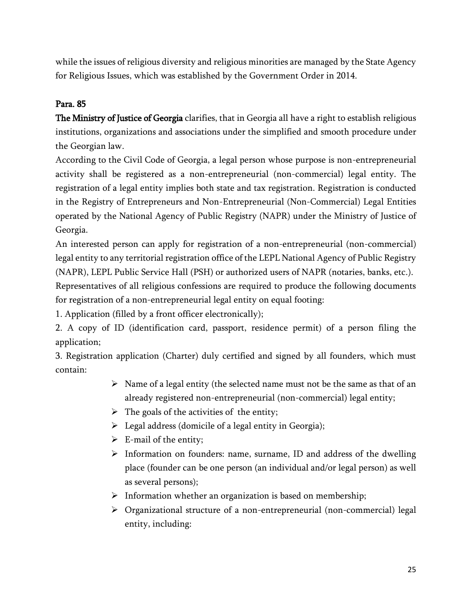while the issues of religious diversity and religious minorities are managed by the State Agency for Religious Issues, which was established by the Government Order in 2014.

# Para. 85

The Ministry of Justice of Georgia clarifies, that in Georgia all have a right to establish religious institutions, organizations and associations under the simplified and smooth procedure under the Georgian law.

According to the Civil Code of Georgia, a legal person whose purpose is non-entrepreneurial activity shall be registered as a non-entrepreneurial (non-commercial) legal entity. The registration of a legal entity implies both state and tax registration. Registration is conducted in the Registry of Entrepreneurs and Non-Entrepreneurial (Non-Commercial) Legal Entities operated by the National Agency of Public Registry (NAPR) under the Ministry of Justice of Georgia.

An interested person can apply for registration of a non-entrepreneurial (non-commercial) legal entity to any territorial registration office of the LEPL National Agency of Public Registry (NAPR), LEPL Public Service Hall (PSH) or authorized users of NAPR (notaries, banks, etc.).

Representatives of all religious confessions are required to produce the following documents for registration of a non-entrepreneurial legal entity on equal footing:

1. Application (filled by a front officer electronically);

2. A copy of ID (identification card, passport, residence permit) of a person filing the application;

3. Registration application (Charter) duly certified and signed by all founders, which must contain:

- $\triangleright$  Name of a legal entity (the selected name must not be the same as that of an already registered non-entrepreneurial (non-commercial) legal entity;
- $\triangleright$  The goals of the activities of the entity;
- $\triangleright$  Legal address (domicile of a legal entity in Georgia);
- $\triangleright$  E-mail of the entity;
- $\triangleright$  Information on founders: name, surname, ID and address of the dwelling place (founder can be one person (an individual and/or legal person) as well as several persons);
- $\triangleright$  Information whether an organization is based on membership;
- $\triangleright$  Organizational structure of a non-entrepreneurial (non-commercial) legal entity, including: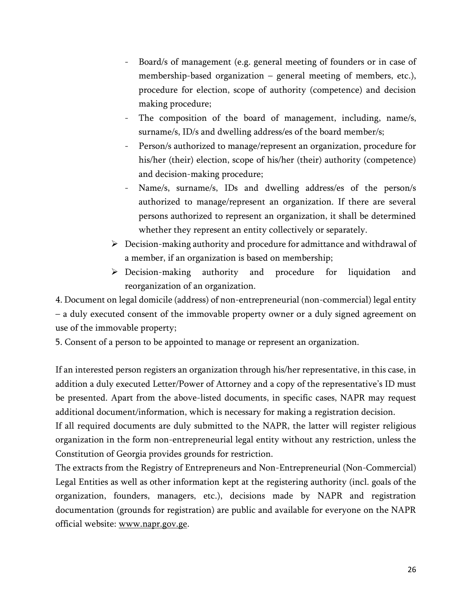- Board/s of management (e.g. general meeting of founders or in case of membership-based organization – general meeting of members, etc.), procedure for election, scope of authority (competence) and decision making procedure;
- The composition of the board of management, including, name/s, surname/s, ID/s and dwelling address/es of the board member/s;
- Person/s authorized to manage/represent an organization, procedure for his/her (their) election, scope of his/her (their) authority (competence) and decision-making procedure;
- Name/s, surname/s, IDs and dwelling address/es of the person/s authorized to manage/represent an organization. If there are several persons authorized to represent an organization, it shall be determined whether they represent an entity collectively or separately.
- $\triangleright$  Decision-making authority and procedure for admittance and withdrawal of a member, if an organization is based on membership;
- Decision-making authority and procedure for liquidation and reorganization of an organization.

4. Document on legal domicile (address) of non-entrepreneurial (non-commercial) legal entity – a duly executed consent of the immovable property owner or a duly signed agreement on use of the immovable property;

5. Consent of a person to be appointed to manage or represent an organization.

If an interested person registers an organization through his/her representative, in this case, in addition a duly executed Letter/Power of Attorney and a copy of the representative's ID must be presented. Apart from the above-listed documents, in specific cases, NAPR may request additional document/information, which is necessary for making a registration decision.

If all required documents are duly submitted to the NAPR, the latter will register religious organization in the form non-entrepreneurial legal entity without any restriction, unless the Constitution of Georgia provides grounds for restriction.

The extracts from the Registry of Entrepreneurs and Non-Entrepreneurial (Non-Commercial) Legal Entities as well as other information kept at the registering authority (incl. goals of the organization, founders, managers, etc.), decisions made by NAPR and registration documentation (grounds for registration) are public and available for everyone on the NAPR official website: [www.napr.gov.ge.](http://www.napr.gov.ge/)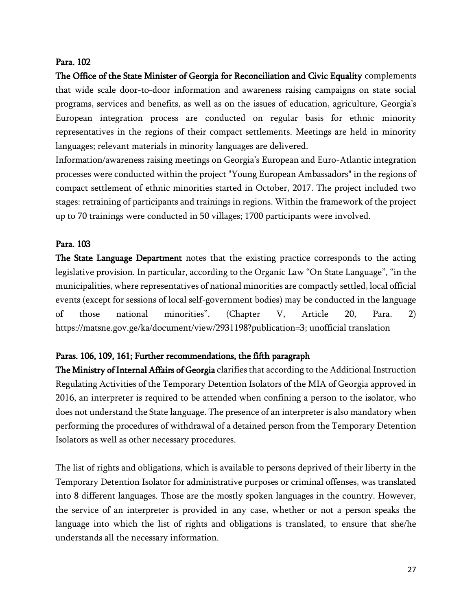## Para. 102

The Office of the State Minister of Georgia for Reconciliation and Civic Equality complements that wide scale door-to-door information and awareness raising campaigns on state social programs, services and benefits, as well as on the issues of education, agriculture, Georgia's European integration process are conducted on regular basis for ethnic minority representatives in the regions of their compact settlements. Meetings are held in minority languages; relevant materials in minority languages are delivered.

Information/awareness raising meetings on Georgia's European and Euro-Atlantic integration processes were conducted within the project "Young European Ambassadors" in the regions of compact settlement of ethnic minorities started in October, 2017. The project included two stages: retraining of participants and trainings in regions. Within the framework of the project up to 70 trainings were conducted in 50 villages; 1700 participants were involved.

# Para. 103

The State Language Department notes that the existing practice corresponds to the acting legislative provision. In particular, according to the Organic Law "On State Language", "in the municipalities, where representatives of national minorities are compactly settled, local official events (except for sessions of local self-government bodies) may be conducted in the language of those national minorities". (Chapter V, Article 20, Para. 2) [https://matsne.gov.ge/ka/document/view/2931198?publication=3;](https://matsne.gov.ge/ka/document/view/2931198?publication=3) unofficial translation

# Paras. 106, 109, 161; Further recommendations, the fifth paragraph

The Ministry of Internal Affairs of Georgia clarifies that according to the Additional Instruction Regulating Activities of the Temporary Detention Isolators of the MIA of Georgia approved in 2016, an interpreter is required to be attended when confining a person to the isolator, who does not understand the State language. The presence of an interpreter is also mandatory when performing the procedures of withdrawal of a detained person from the Temporary Detention Isolators as well as other necessary procedures.

The list of rights and obligations, which is available to persons deprived of their liberty in the Temporary Detention Isolator for administrative purposes or criminal offenses, was translated into 8 different languages. Those are the mostly spoken languages in the country. However, the service of an interpreter is provided in any case, whether or not a person speaks the language into which the list of rights and obligations is translated, to ensure that she/he understands all the necessary information.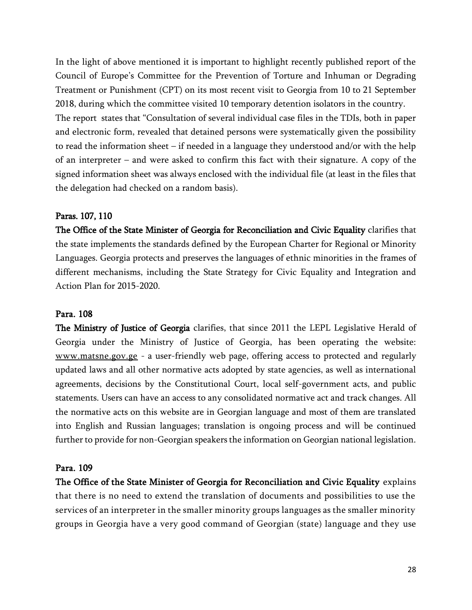In the light of above mentioned it is important to highlight recently published report of the Council of Europe's Committee for the Prevention of Torture and Inhuman or Degrading Treatment or Punishment (CPT) on its most recent visit to Georgia from 10 to 21 September 2018, during which the committee visited 10 temporary detention isolators in the country. The report states that "Consultation of several individual case files in the TDIs, both in paper and electronic form, revealed that detained persons were systematically given the possibility to read the information sheet – if needed in a language they understood and/or with the help of an interpreter – and were asked to confirm this fact with their signature. A copy of the signed information sheet was always enclosed with the individual file (at least in the files that the delegation had checked on a random basis).

## Paras. 107, 110

The Office of the State Minister of Georgia for Reconciliation and Civic Equality clarifies that the state implements the standards defined by the European Charter for Regional or Minority Languages. Georgia protects and preserves the languages of ethnic minorities in the frames of different mechanisms, including the State Strategy for Civic Equality and Integration and Action Plan for 2015-2020.

#### Para. 108

The Ministry of Justice of Georgia clarifies, that since 2011 the LEPL Legislative Herald of Georgia under the Ministry of Justice of Georgia, has been operating the website: [www.matsne.gov.ge](http://www.matsne.gov.ge/) - a user-friendly web page, offering access to protected and regularly updated laws and all other normative acts adopted by state agencies, as well as international agreements, decisions by the Constitutional Court, local self-government acts, and public statements. Users can have an access to any consolidated normative act and track changes. All the normative acts on this website are in Georgian language and most of them are translated into English and Russian languages; translation is ongoing process and will be continued further to provide for non-Georgian speakers the information on Georgian national legislation.

#### Para. 109

The Office of the State Minister of Georgia for Reconciliation and Civic Equality explains that there is no need to extend the translation of documents and possibilities to use the services of an interpreter in the smaller minority groups languages as the smaller minority groups in Georgia have a very good command of Georgian (state) language and they use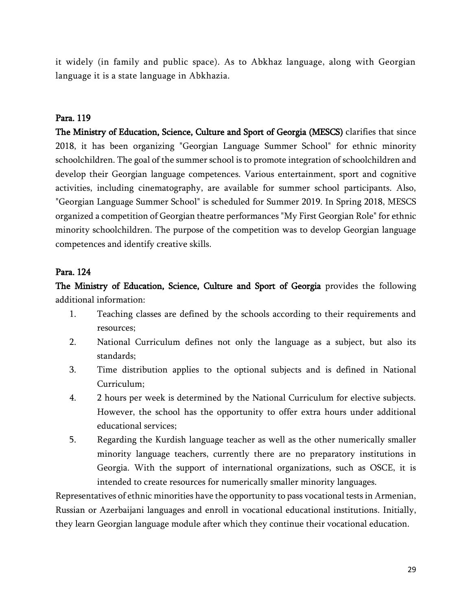it widely (in family and public space). As to Abkhaz language, along with Georgian language it is a state language in Abkhazia.

## Para. 119

The Ministry of Education, Science, Culture and Sport of Georgia (MESCS) clarifies that since 2018, it has been organizing "Georgian Language Summer School" for ethnic minority schoolchildren. The goal of the summer school is to promote integration of schoolchildren and develop their Georgian language competences. Various entertainment, sport and cognitive activities, including cinematography, are available for summer school participants. Also, "Georgian Language Summer School" is scheduled for Summer 2019. In Spring 2018, MESCS organized a competition of Georgian theatre performances "My First Georgian Role" for ethnic minority schoolchildren. The purpose of the competition was to develop Georgian language competences and identify creative skills.

## Para. 124

The Ministry of Education, Science, Culture and Sport of Georgia provides the following additional information:

- 1. Teaching classes are defined by the schools according to their requirements and resources;
- 2. National Curriculum defines not only the language as a subject, but also its standards;
- 3. Time distribution applies to the optional subjects and is defined in National Curriculum;
- 4. 2 hours per week is determined by the National Curriculum for elective subjects. However, the school has the opportunity to offer extra hours under additional educational services;
- 5. Regarding the Kurdish language teacher as well as the other numerically smaller minority language teachers, currently there are no preparatory institutions in Georgia. With the support of international organizations, such as OSCE, it is intended to create resources for numerically smaller minority languages.

Representatives of ethnic minorities have the opportunity to pass vocational tests in Armenian, Russian or Azerbaijani languages and enroll in vocational educational institutions. Initially, they learn Georgian language module after which they continue their vocational education.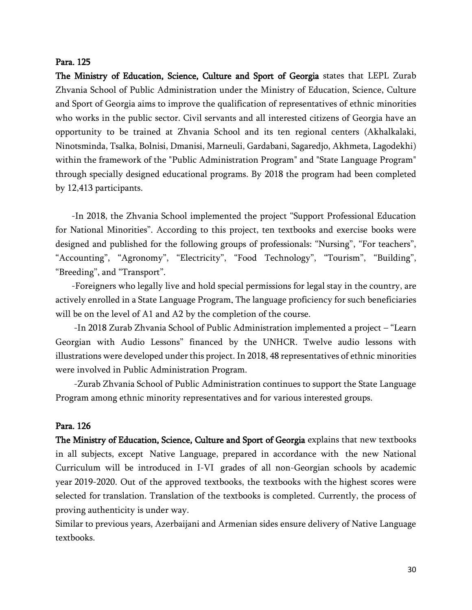#### Para. 125

The Ministry of Education, Science, Culture and Sport of Georgia states that LEPL Zurab Zhvania School of Public Administration under the Ministry of Education, Science, Culture and Sport of Georgia aims to improve the qualification of representatives of ethnic minorities who works in the public sector. Civil servants and all interested citizens of Georgia have an opportunity to be trained at Zhvania School and its ten regional centers (Akhalkalaki, Ninotsminda, Tsalka, Bolnisi, Dmanisi, Marneuli, Gardabani, Sagaredjo, Akhmeta, Lagodekhi) within the framework of the "Public Administration Program" and "State Language Program" through specially designed educational programs. By 2018 the program had been completed by 12,413 participants.

 -In 2018, the Zhvania School implemented the project "Support Professional Education for National Minorities". According to this project, ten textbooks and exercise books were designed and published for the following groups of professionals: "Nursing", "For teachers", "Accounting", "Agronomy", "Electricity", "Food Technology", "Tourism", "Building", "Breeding", and "Transport".

 -Foreigners who legally live and hold special permissions for legal stay in the country, are actively enrolled in a State Language Program. The language proficiency for such beneficiaries will be on the level of A1 and A2 by the completion of the course.

 -In 2018 Zurab Zhvania School of Public Administration implemented a project – "Learn Georgian with Audio Lessons" financed by the UNHCR. Twelve audio lessons with illustrations were developed under this project. In 2018, 48 representatives of ethnic minorities were involved in Public Administration Program.

 -Zurab Zhvania School of Public Administration continues to support the State Language Program among ethnic minority representatives and for various interested groups.

#### Para. 126

The Ministry of Education, Science, Culture and Sport of Georgia explains that new textbooks in all subjects, except Native Language, prepared in accordance with the new National Curriculum will be introduced in I-VI grades of all non-Georgian schools by academic year 2019-2020. Out of the approved textbooks, the textbooks with the highest scores were selected for translation. Translation of the textbooks is completed. Currently, the process of proving authenticity is under way.

Similar to previous years, Azerbaijani and Armenian sides ensure delivery of Native Language textbooks.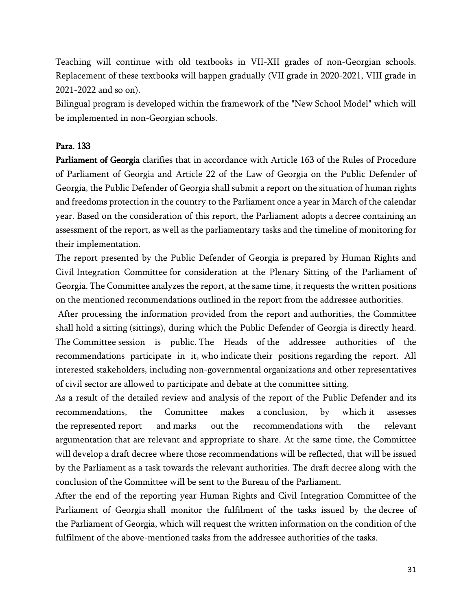Teaching will continue with old textbooks in VII-XII grades of non-Georgian schools. Replacement of these textbooks will happen gradually (VII grade in 2020-2021, VIII grade in 2021-2022 and so on).

Bilingual program is developed within the framework of the "New School Model" which will be implemented in non-Georgian schools.

# Para. 133

Parliament of Georgia clarifies that in accordance with Article 163 of the Rules of Procedure of Parliament of Georgia and Article 22 of the Law of Georgia on the Public Defender of Georgia, the Public Defender of Georgia shall submit a report on the situation of human rights and freedoms protection in the country to the Parliament once a year in March of the calendar year. Based on the consideration of this report, the Parliament adopts a decree containing an assessment of the report, as well as the parliamentary tasks and the timeline of monitoring for their implementation.

The report presented by the Public Defender of Georgia is prepared by Human Rights and Civil Integration Committee for consideration at the Plenary Sitting of the Parliament of Georgia. The Committee analyzes the report, at the same time, it requests the written positions on the mentioned recommendations outlined in the report from the addressee authorities.

After processing the information provided from the report and authorities, the Committee shall hold a sitting (sittings), during which the Public Defender of Georgia is directly heard. The Committee session is public. The Heads of the addressee authorities of the recommendations participate in it, who indicate their positions regarding the report. All interested stakeholders, including non-governmental organizations and other representatives of civil sector are allowed to participate and debate at the committee sitting.

As a result of the detailed review and analysis of the report of the Public Defender and its recommendations, the Committee makes a conclusion, by which it assesses the represented report and marks out the recommendations with the relevant argumentation that are relevant and appropriate to share. At the same time, the Committee will develop a draft decree where those recommendations will be reflected, that will be issued by the Parliament as a task towards the relevant authorities. The draft decree along with the conclusion of the Committee will be sent to the Bureau of the Parliament.

After the end of the reporting year Human Rights and Civil Integration Committee of the Parliament of Georgia shall monitor the fulfilment of the tasks issued by the decree of the Parliament of Georgia, which will request the written information on the condition of the fulfilment of the above-mentioned tasks from the addressee authorities of the tasks.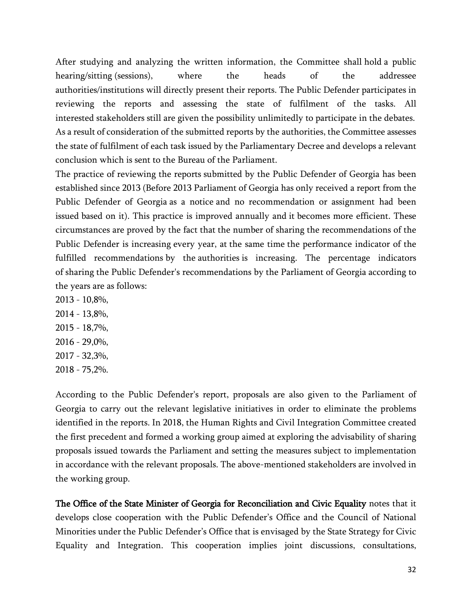After studying and analyzing the written information, the Committee shall hold a public hearing/sitting (sessions), where the heads of the addressee authorities/institutions will directly present their reports. The Public Defender participates in reviewing the reports and assessing the state of fulfilment of the tasks. All interested stakeholders still are given the possibility unlimitedly to participate in the debates. As a result of consideration of the submitted reports by the authorities, the Committee assesses the state of fulfilment of each task issued by the Parliamentary Decree and develops a relevant conclusion which is sent to the Bureau of the Parliament.

The practice of reviewing the reports submitted by the Public Defender of Georgia has been established since 2013 (Before 2013 Parliament of Georgia has only received a report from the Public Defender of Georgia as a notice and no recommendation or assignment had been issued based on it). This practice is improved annually and it becomes more efficient. These circumstances are proved by the fact that the number of sharing the recommendations of the Public Defender is increasing every year, at the same time the performance indicator of the fulfilled recommendations by the authorities is increasing. The percentage indicators of sharing the Public Defender's recommendations by the Parliament of Georgia according to the years are as follows:

2013 - 10,8%, 2014 - 13,8%, 2015 - 18,7%, 2016 - 29,0%, 2017 - 32,3%, 2018 - 75,2%.

According to the Public Defender's report, proposals are also given to the Parliament of Georgia to carry out the relevant legislative initiatives in order to eliminate the problems identified in the reports. In 2018, the Human Rights and Civil Integration Committee created the first precedent and formed a working group aimed at exploring the advisability of sharing proposals issued towards the Parliament and setting the measures subject to implementation in accordance with the relevant proposals. The above-mentioned stakeholders are involved in the working group.

The Office of the State Minister of Georgia for Reconciliation and Civic Equality notes that it develops close cooperation with the Public Defender's Office and the Council of National Minorities under the Public Defender's Office that is envisaged by the State Strategy for Civic Equality and Integration. This cooperation implies joint discussions, consultations,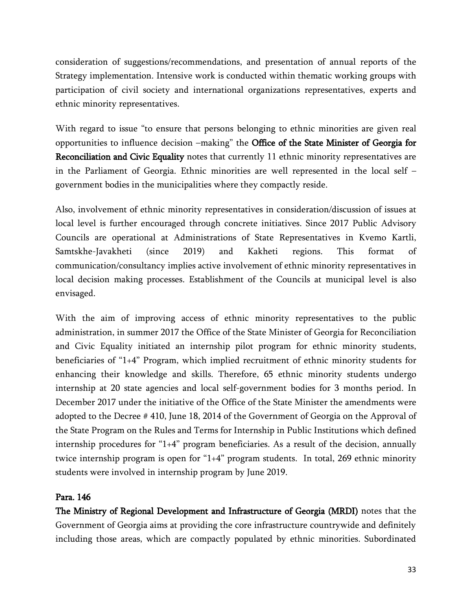consideration of suggestions/recommendations, and presentation of annual reports of the Strategy implementation. Intensive work is conducted within thematic working groups with participation of civil society and international organizations representatives, experts and ethnic minority representatives.

With regard to issue "to ensure that persons belonging to ethnic minorities are given real opportunities to influence decision –making" the Office of the State Minister of Georgia for Reconciliation and Civic Equality notes that currently 11 ethnic minority representatives are in the Parliament of Georgia. Ethnic minorities are well represented in the local self – government bodies in the municipalities where they compactly reside.

Also, involvement of ethnic minority representatives in consideration/discussion of issues at local level is further encouraged through concrete initiatives. Since 2017 Public Advisory Councils are operational at Administrations of State Representatives in Kvemo Kartli, Samtskhe-Javakheti (since 2019) and Kakheti regions. This format of communication/consultancy implies active involvement of ethnic minority representatives in local decision making processes. Establishment of the Councils at municipal level is also envisaged.

With the aim of improving access of ethnic minority representatives to the public administration, in summer 2017 the Office of the State Minister of Georgia for Reconciliation and Civic Equality initiated an internship pilot program for ethnic minority students, beneficiaries of "1+4" Program, which implied recruitment of ethnic minority students for enhancing their knowledge and skills. Therefore, 65 ethnic minority students undergo internship at 20 state agencies and local self-government bodies for 3 months period. In December 2017 under the initiative of the Office of the State Minister the amendments were adopted to the Decree # 410, June 18, 2014 of the Government of Georgia on the Approval of the State Program on the Rules and Terms for Internship in Public Institutions which defined internship procedures for "1+4" program beneficiaries. As a result of the decision, annually twice internship program is open for "1+4" program students. In total, 269 ethnic minority students were involved in internship program by June 2019.

# Para. 146

The Ministry of Regional Development and Infrastructure of Georgia (MRDI) notes that the Government of Georgia aims at providing the core infrastructure countrywide and definitely including those areas, which are compactly populated by ethnic minorities. Subordinated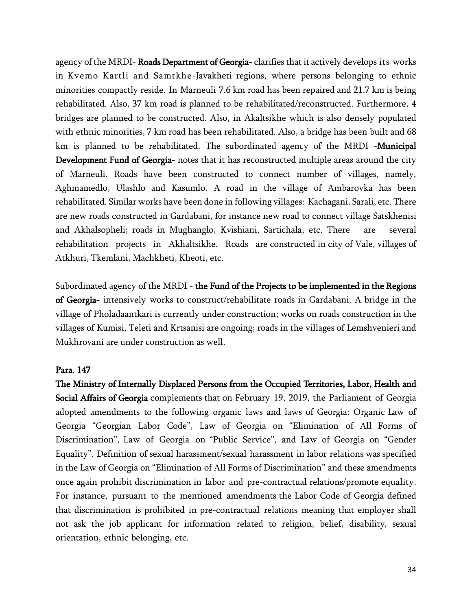agency of the MRDI-Roads Department of Georgia-clarifies that it actively develops its works in Kvemo Kartli and Samtkhe-Javakheti regions, where persons belonging to ethnic minorities compactly reside. In Marneuli 7.6 km road has been repaired and 21.7 km is being rehabilitated. Also, 37 km road is planned to be rehabilitated/reconstructed. Furthermore, 4 bridges are planned to be constructed. Also, in Akaltsikhe which is also densely populated with ethnic minorities, 7 km road has been rehabilitated. Also, a bridge has been built and 68 km is planned to be rehabilitated. The subordinated agency of the MRDI -**Municipal** Development Fund of Georgia- notes that it has reconstructed multiple areas around the city of Marneuli. Roads have been constructed to connect number of villages, namely, Aghmamedlo, Ulashlo and Kasumlo. A road in the village of Ambarovka has been rehabilitated. Similar works have been done in following villages: Kachagani, Sarali, etc. There are new roads constructed in Gardabani, for instance new road to connect village Satskhenisi and Akhalsopheli; roads in Mughanglo, Kvishiani, Sartichala, etc. There are several rehabilitation projects in Akhaltsikhe. Roads are constructed in city of Vale, villages of Atkhuri, Tkemlani, Machkheti, Kheoti, etc.

Subordinated agency of the MRDI - the Fund of the Projects to be implemented in the Regions of Georgia- intensively works to construct/rehabilitate roads in Gardabani. A bridge in the village of Pholadaantkari is currently under construction; works on roads construction in the villages of Kumisi, Teleti and Krtsanisi are ongoing; roads in the villages of Lemshvenieri and Mukhrovani are under construction as well.

## Para. 147

The Ministry of Internally Displaced Persons from the Occupied Territories, Labor, Health and Social Affairs of Georgia complements that on February 19, 2019, the Parliament of Georgia adopted amendments to the following organic laws and laws of Georgia: Organic Law of Georgia "Georgian Labor Code", Law of Georgia on "Elimination of All Forms of Discrimination", Law of Georgia on "Public Service", and Law of Georgia on "Gender Equality". Definition of sexual harassment/sexual harassment in labor relations was specified in the Law of Georgia on "Elimination of All Forms of Discrimination" and these amendments once again prohibit discrimination in labor and pre-contractual relations/promote equality. For instance, pursuant to the mentioned amendments the Labor Code of Georgia defined that discrimination is prohibited in pre-contractual relations meaning that employer shall not ask the job applicant for information related to religion, belief, disability, sexual orientation, ethnic belonging, etc.